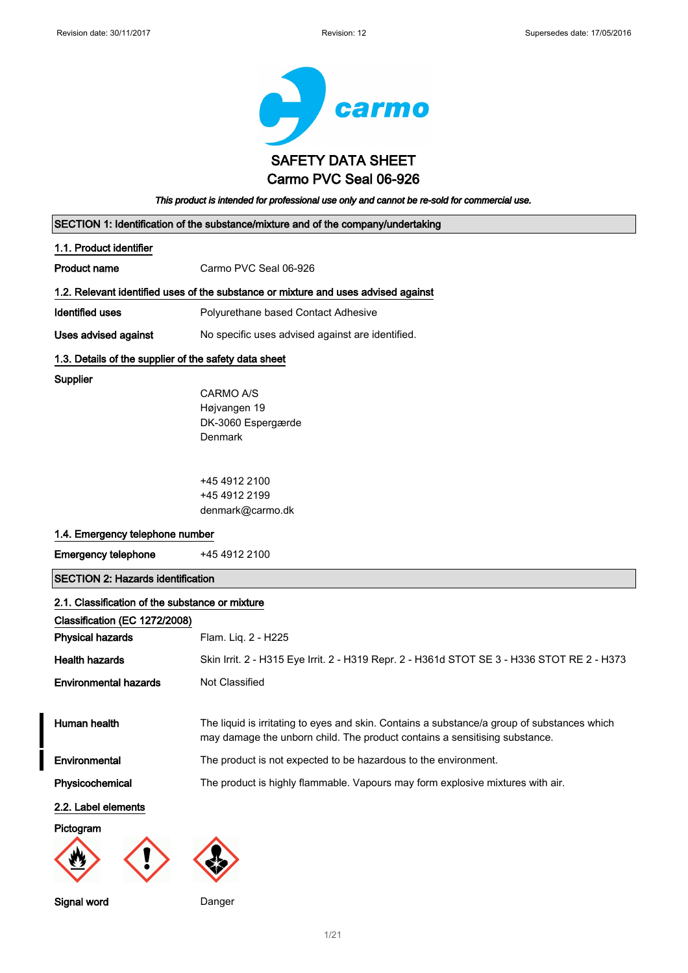

| This product is intended for professional use only and cannot be re-sold for commercial use. |                                                                                                                                                                           |  |  |
|----------------------------------------------------------------------------------------------|---------------------------------------------------------------------------------------------------------------------------------------------------------------------------|--|--|
|                                                                                              | SECTION 1: Identification of the substance/mixture and of the company/undertaking                                                                                         |  |  |
| 1.1. Product identifier                                                                      |                                                                                                                                                                           |  |  |
| <b>Product name</b>                                                                          | Carmo PVC Seal 06-926                                                                                                                                                     |  |  |
|                                                                                              | 1.2. Relevant identified uses of the substance or mixture and uses advised against                                                                                        |  |  |
| <b>Identified uses</b>                                                                       | Polyurethane based Contact Adhesive                                                                                                                                       |  |  |
| Uses advised against                                                                         | No specific uses advised against are identified.                                                                                                                          |  |  |
|                                                                                              | 1.3. Details of the supplier of the safety data sheet                                                                                                                     |  |  |
| <b>Supplier</b>                                                                              |                                                                                                                                                                           |  |  |
|                                                                                              | CARMO A/S                                                                                                                                                                 |  |  |
|                                                                                              | Højvangen 19                                                                                                                                                              |  |  |
|                                                                                              | DK-3060 Espergærde                                                                                                                                                        |  |  |
|                                                                                              | Denmark                                                                                                                                                                   |  |  |
|                                                                                              | +45 4912 2100                                                                                                                                                             |  |  |
|                                                                                              | +45 4912 2199                                                                                                                                                             |  |  |
|                                                                                              | denmark@carmo.dk                                                                                                                                                          |  |  |
| 1.4. Emergency telephone number                                                              |                                                                                                                                                                           |  |  |
| <b>Emergency telephone</b>                                                                   | +45 4912 2100                                                                                                                                                             |  |  |
| <b>SECTION 2: Hazards identification</b>                                                     |                                                                                                                                                                           |  |  |
| 2.1. Classification of the substance or mixture                                              |                                                                                                                                                                           |  |  |
| Classification (EC 1272/2008)                                                                |                                                                                                                                                                           |  |  |
| <b>Physical hazards</b>                                                                      | Flam. Liq. 2 - H225                                                                                                                                                       |  |  |
| <b>Health hazards</b>                                                                        | Skin Irrit. 2 - H315 Eye Irrit. 2 - H319 Repr. 2 - H361d STOT SE 3 - H336 STOT RE 2 - H373                                                                                |  |  |
| <b>Environmental hazards</b>                                                                 | Not Classified                                                                                                                                                            |  |  |
|                                                                                              |                                                                                                                                                                           |  |  |
| Human health                                                                                 | The liquid is irritating to eyes and skin. Contains a substance/a group of substances which<br>may damage the unborn child. The product contains a sensitising substance. |  |  |
| Environmental                                                                                | The product is not expected to be hazardous to the environment.                                                                                                           |  |  |
| Physicochemical                                                                              | The product is highly flammable. Vapours may form explosive mixtures with air.                                                                                            |  |  |
| 2.2. Label elements                                                                          |                                                                                                                                                                           |  |  |
| Pictogram                                                                                    |                                                                                                                                                                           |  |  |
|                                                                                              |                                                                                                                                                                           |  |  |

#### Signal word Danger

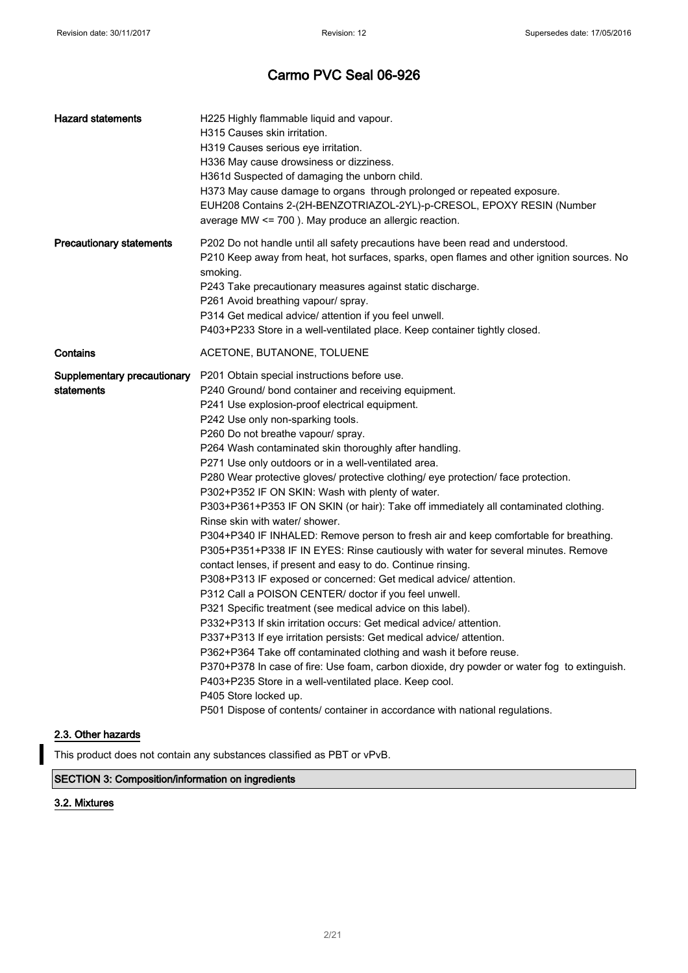| H225 Highly flammable liquid and vapour.<br>H315 Causes skin irritation.<br>H319 Causes serious eve irritation.<br>H336 May cause drowsiness or dizziness.<br>H361d Suspected of damaging the unborn child.<br>H373 May cause damage to organs through prolonged or repeated exposure.<br>EUH208 Contains 2-(2H-BENZOTRIAZOL-2YL)-p-CRESOL, EPOXY RESIN (Number<br>average MW <= 700). May produce an allergic reaction.                                                                                                                                                                                                                                                                                                                                                                                                                                                                                                                                                                                                                                                                                                                                                                                                                                                                                                                                                                                                                                                                                                                                  |
|-----------------------------------------------------------------------------------------------------------------------------------------------------------------------------------------------------------------------------------------------------------------------------------------------------------------------------------------------------------------------------------------------------------------------------------------------------------------------------------------------------------------------------------------------------------------------------------------------------------------------------------------------------------------------------------------------------------------------------------------------------------------------------------------------------------------------------------------------------------------------------------------------------------------------------------------------------------------------------------------------------------------------------------------------------------------------------------------------------------------------------------------------------------------------------------------------------------------------------------------------------------------------------------------------------------------------------------------------------------------------------------------------------------------------------------------------------------------------------------------------------------------------------------------------------------|
| P202 Do not handle until all safety precautions have been read and understood.<br>P210 Keep away from heat, hot surfaces, sparks, open flames and other ignition sources. No<br>smoking.<br>P243 Take precautionary measures against static discharge.<br>P261 Avoid breathing vapour/ spray.<br>P314 Get medical advice/ attention if you feel unwell.<br>P403+P233 Store in a well-ventilated place. Keep container tightly closed.                                                                                                                                                                                                                                                                                                                                                                                                                                                                                                                                                                                                                                                                                                                                                                                                                                                                                                                                                                                                                                                                                                                     |
| ACETONE, BUTANONE, TOLUENE                                                                                                                                                                                                                                                                                                                                                                                                                                                                                                                                                                                                                                                                                                                                                                                                                                                                                                                                                                                                                                                                                                                                                                                                                                                                                                                                                                                                                                                                                                                                |
| P201 Obtain special instructions before use.<br>P240 Ground/ bond container and receiving equipment.<br>P241 Use explosion-proof electrical equipment.<br>P242 Use only non-sparking tools.<br>P260 Do not breathe vapour/ spray.<br>P264 Wash contaminated skin thoroughly after handling.<br>P271 Use only outdoors or in a well-ventilated area.<br>P280 Wear protective gloves/ protective clothing/ eye protection/ face protection.<br>P302+P352 IF ON SKIN: Wash with plenty of water.<br>P303+P361+P353 IF ON SKIN (or hair): Take off immediately all contaminated clothing.<br>Rinse skin with water/ shower.<br>P304+P340 IF INHALED: Remove person to fresh air and keep comfortable for breathing.<br>P305+P351+P338 IF IN EYES: Rinse cautiously with water for several minutes. Remove<br>contact lenses, if present and easy to do. Continue rinsing.<br>P308+P313 IF exposed or concerned: Get medical advice/ attention.<br>P312 Call a POISON CENTER/ doctor if you feel unwell.<br>P321 Specific treatment (see medical advice on this label).<br>P332+P313 If skin irritation occurs: Get medical advice/ attention.<br>P337+P313 If eye irritation persists: Get medical advice/ attention.<br>P362+P364 Take off contaminated clothing and wash it before reuse.<br>P370+P378 In case of fire: Use foam, carbon dioxide, dry powder or water fog to extinguish.<br>P403+P235 Store in a well-ventilated place. Keep cool.<br>P405 Store locked up.<br>P501 Dispose of contents/ container in accordance with national regulations. |
|                                                                                                                                                                                                                                                                                                                                                                                                                                                                                                                                                                                                                                                                                                                                                                                                                                                                                                                                                                                                                                                                                                                                                                                                                                                                                                                                                                                                                                                                                                                                                           |

### 2.3. Other hazards

This product does not contain any substances classified as PBT or vPvB.

### SECTION 3: Composition/information on ingredients

### 3.2. Mixtures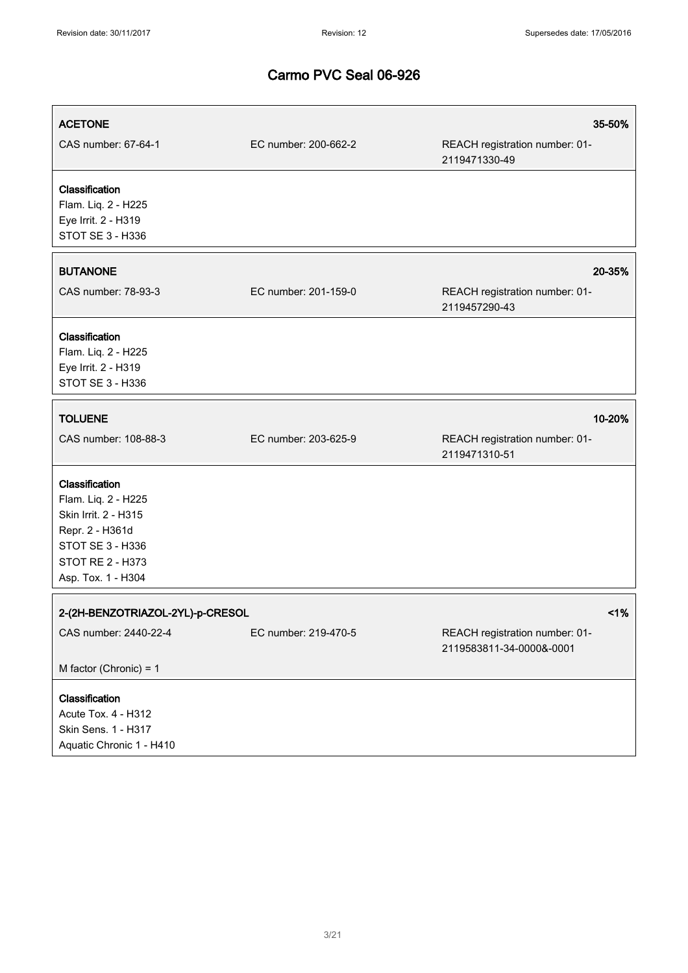| <b>ACETONE</b><br>CAS number: 67-64-1                                                                                                                 | EC number: 200-662-2 | 35-50%<br>REACH registration number: 01-<br>2119471330-49  |
|-------------------------------------------------------------------------------------------------------------------------------------------------------|----------------------|------------------------------------------------------------|
| Classification<br>Flam. Liq. 2 - H225<br>Eye Irrit. 2 - H319<br>STOT SE 3 - H336                                                                      |                      |                                                            |
| <b>BUTANONE</b>                                                                                                                                       |                      | 20-35%                                                     |
| CAS number: 78-93-3                                                                                                                                   | EC number: 201-159-0 | REACH registration number: 01-<br>2119457290-43            |
| Classification<br>Flam. Liq. 2 - H225<br>Eye Irrit. 2 - H319<br>STOT SE 3 - H336                                                                      |                      |                                                            |
| <b>TOLUENE</b>                                                                                                                                        |                      | 10-20%                                                     |
| CAS number: 108-88-3                                                                                                                                  | EC number: 203-625-9 | REACH registration number: 01-<br>2119471310-51            |
| Classification<br>Flam. Liq. 2 - H225<br>Skin Irrit. 2 - H315<br>Repr. 2 - H361d<br>STOT SE 3 - H336<br><b>STOT RE 2 - H373</b><br>Asp. Tox. 1 - H304 |                      |                                                            |
| 2-(2H-BENZOTRIAZOL-2YL)-p-CRESOL                                                                                                                      |                      | 1%                                                         |
| CAS number: 2440-22-4                                                                                                                                 | EC number: 219-470-5 | REACH registration number: 01-<br>2119583811-34-0000&-0001 |
| M factor (Chronic) = $1$                                                                                                                              |                      |                                                            |
| Classification<br>Acute Tox. 4 - H312<br>Skin Sens. 1 - H317<br>Aquatic Chronic 1 - H410                                                              |                      |                                                            |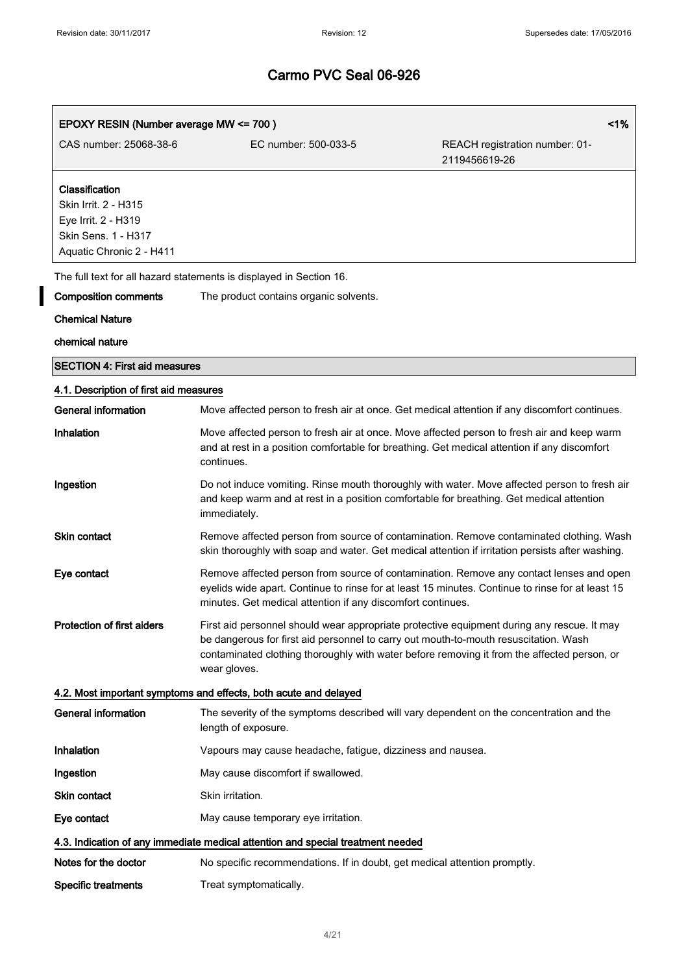$\overline{\mathbf{I}}$ 

| 1%<br>EPOXY RESIN (Number average MW <= 700)                                                                     |                                                                                                                                                                                                                                                                                                   |                                                 |
|------------------------------------------------------------------------------------------------------------------|---------------------------------------------------------------------------------------------------------------------------------------------------------------------------------------------------------------------------------------------------------------------------------------------------|-------------------------------------------------|
| CAS number: 25068-38-6                                                                                           | EC number: 500-033-5                                                                                                                                                                                                                                                                              | REACH registration number: 01-<br>2119456619-26 |
| Classification<br>Skin Irrit. 2 - H315<br>Eye Irrit. 2 - H319<br>Skin Sens. 1 - H317<br>Aquatic Chronic 2 - H411 |                                                                                                                                                                                                                                                                                                   |                                                 |
|                                                                                                                  | The full text for all hazard statements is displayed in Section 16.                                                                                                                                                                                                                               |                                                 |
| <b>Composition comments</b>                                                                                      | The product contains organic solvents.                                                                                                                                                                                                                                                            |                                                 |
| <b>Chemical Nature</b>                                                                                           |                                                                                                                                                                                                                                                                                                   |                                                 |
| chemical nature                                                                                                  |                                                                                                                                                                                                                                                                                                   |                                                 |
| <b>SECTION 4: First aid measures</b>                                                                             |                                                                                                                                                                                                                                                                                                   |                                                 |
| 4.1. Description of first aid measures                                                                           |                                                                                                                                                                                                                                                                                                   |                                                 |
| General information                                                                                              | Move affected person to fresh air at once. Get medical attention if any discomfort continues.                                                                                                                                                                                                     |                                                 |
| Inhalation                                                                                                       | Move affected person to fresh air at once. Move affected person to fresh air and keep warm<br>and at rest in a position comfortable for breathing. Get medical attention if any discomfort<br>continues.                                                                                          |                                                 |
| Ingestion                                                                                                        | Do not induce vomiting. Rinse mouth thoroughly with water. Move affected person to fresh air<br>and keep warm and at rest in a position comfortable for breathing. Get medical attention<br>immediately.                                                                                          |                                                 |
| <b>Skin contact</b>                                                                                              | Remove affected person from source of contamination. Remove contaminated clothing. Wash<br>skin thoroughly with soap and water. Get medical attention if irritation persists after washing.                                                                                                       |                                                 |
| Eye contact                                                                                                      | Remove affected person from source of contamination. Remove any contact lenses and open<br>eyelids wide apart. Continue to rinse for at least 15 minutes. Continue to rinse for at least 15<br>minutes. Get medical attention if any discomfort continues.                                        |                                                 |
| <b>Protection of first aiders</b>                                                                                | First aid personnel should wear appropriate protective equipment during any rescue. It may<br>be dangerous for first aid personnel to carry out mouth-to-mouth resuscitation. Wash<br>contaminated clothing thoroughly with water before removing it from the affected person, or<br>wear gloves. |                                                 |
|                                                                                                                  | 4.2. Most important symptoms and effects, both acute and delayed                                                                                                                                                                                                                                  |                                                 |
| <b>General information</b>                                                                                       | The severity of the symptoms described will vary dependent on the concentration and the<br>length of exposure.                                                                                                                                                                                    |                                                 |
| Inhalation                                                                                                       | Vapours may cause headache, fatigue, dizziness and nausea.                                                                                                                                                                                                                                        |                                                 |
| Ingestion                                                                                                        | May cause discomfort if swallowed.                                                                                                                                                                                                                                                                |                                                 |
| Skin contact                                                                                                     | Skin irritation.                                                                                                                                                                                                                                                                                  |                                                 |
| Eye contact                                                                                                      | May cause temporary eye irritation.                                                                                                                                                                                                                                                               |                                                 |
|                                                                                                                  | 4.3. Indication of any immediate medical attention and special treatment needed                                                                                                                                                                                                                   |                                                 |
| Notes for the doctor                                                                                             | No specific recommendations. If in doubt, get medical attention promptly.                                                                                                                                                                                                                         |                                                 |
| <b>Specific treatments</b>                                                                                       | Treat symptomatically.                                                                                                                                                                                                                                                                            |                                                 |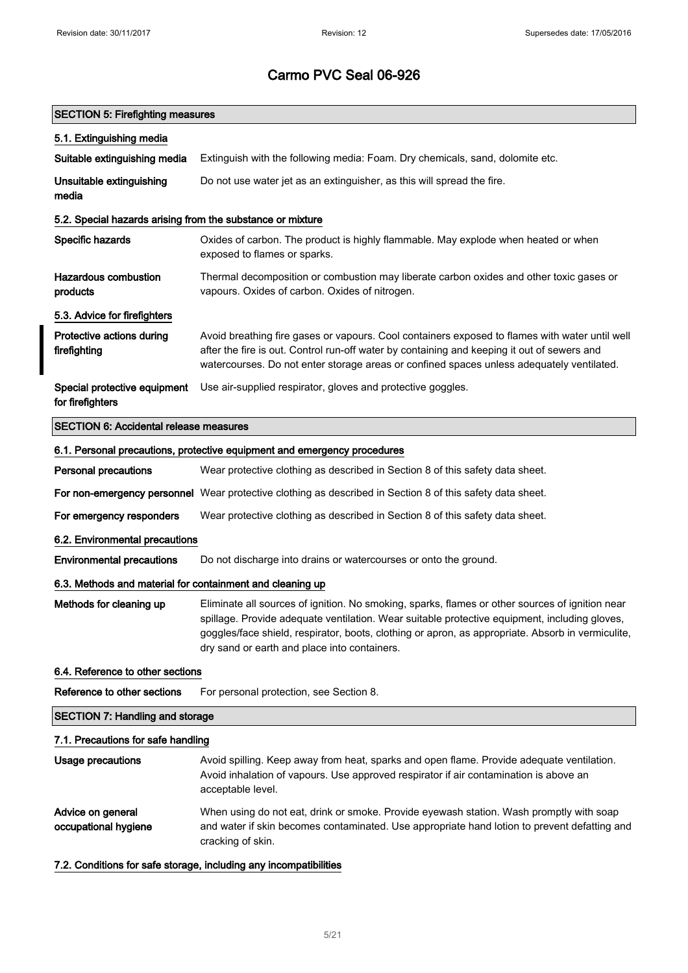### SECTION 5: Firefighting measures

| 5.1. Extinguishing media                                   |                                                                                                                                                                                                                                                                                                                                                       |
|------------------------------------------------------------|-------------------------------------------------------------------------------------------------------------------------------------------------------------------------------------------------------------------------------------------------------------------------------------------------------------------------------------------------------|
| Suitable extinguishing media                               | Extinguish with the following media: Foam. Dry chemicals, sand, dolomite etc.                                                                                                                                                                                                                                                                         |
| Unsuitable extinguishing<br>media                          | Do not use water jet as an extinguisher, as this will spread the fire.                                                                                                                                                                                                                                                                                |
| 5.2. Special hazards arising from the substance or mixture |                                                                                                                                                                                                                                                                                                                                                       |
| Specific hazards                                           | Oxides of carbon. The product is highly flammable. May explode when heated or when<br>exposed to flames or sparks.                                                                                                                                                                                                                                    |
| <b>Hazardous combustion</b><br>products                    | Thermal decomposition or combustion may liberate carbon oxides and other toxic gases or<br>vapours. Oxides of carbon. Oxides of nitrogen.                                                                                                                                                                                                             |
| 5.3. Advice for firefighters                               |                                                                                                                                                                                                                                                                                                                                                       |
| Protective actions during<br>firefighting                  | Avoid breathing fire gases or vapours. Cool containers exposed to flames with water until well<br>after the fire is out. Control run-off water by containing and keeping it out of sewers and<br>watercourses. Do not enter storage areas or confined spaces unless adequately ventilated.                                                            |
| Special protective equipment<br>for firefighters           | Use air-supplied respirator, gloves and protective goggles.                                                                                                                                                                                                                                                                                           |
| <b>SECTION 6: Accidental release measures</b>              |                                                                                                                                                                                                                                                                                                                                                       |
|                                                            | 6.1. Personal precautions, protective equipment and emergency procedures                                                                                                                                                                                                                                                                              |
| <b>Personal precautions</b>                                | Wear protective clothing as described in Section 8 of this safety data sheet.                                                                                                                                                                                                                                                                         |
|                                                            | For non-emergency personnel Wear protective clothing as described in Section 8 of this safety data sheet.                                                                                                                                                                                                                                             |
| For emergency responders                                   | Wear protective clothing as described in Section 8 of this safety data sheet.                                                                                                                                                                                                                                                                         |
| 6.2. Environmental precautions                             |                                                                                                                                                                                                                                                                                                                                                       |
| <b>Environmental precautions</b>                           | Do not discharge into drains or watercourses or onto the ground.                                                                                                                                                                                                                                                                                      |
| 6.3. Methods and material for containment and cleaning up  |                                                                                                                                                                                                                                                                                                                                                       |
| Methods for cleaning up                                    | Eliminate all sources of ignition. No smoking, sparks, flames or other sources of ignition near<br>spillage. Provide adequate ventilation. Wear suitable protective equipment, including gloves,<br>goggles/face shield, respirator, boots, clothing or apron, as appropriate. Absorb in vermiculite,<br>dry sand or earth and place into containers. |
| 6.4. Reference to other sections                           |                                                                                                                                                                                                                                                                                                                                                       |
| Reference to other sections                                | For personal protection, see Section 8.                                                                                                                                                                                                                                                                                                               |
| <b>SECTION 7: Handling and storage</b>                     |                                                                                                                                                                                                                                                                                                                                                       |
| 7.1. Precautions for safe handling                         |                                                                                                                                                                                                                                                                                                                                                       |
| Usage precautions                                          | Avoid spilling. Keep away from heat, sparks and open flame. Provide adequate ventilation.<br>Avoid inhalation of vapours. Use approved respirator if air contamination is above an<br>acceptable level.                                                                                                                                               |
| Advice on general<br>occupational hygiene                  | When using do not eat, drink or smoke. Provide eyewash station. Wash promptly with soap<br>and water if skin becomes contaminated. Use appropriate hand lotion to prevent defatting and<br>cracking of skin.                                                                                                                                          |
|                                                            | 7.2. Conditions for safe storage, including any incompatibilities                                                                                                                                                                                                                                                                                     |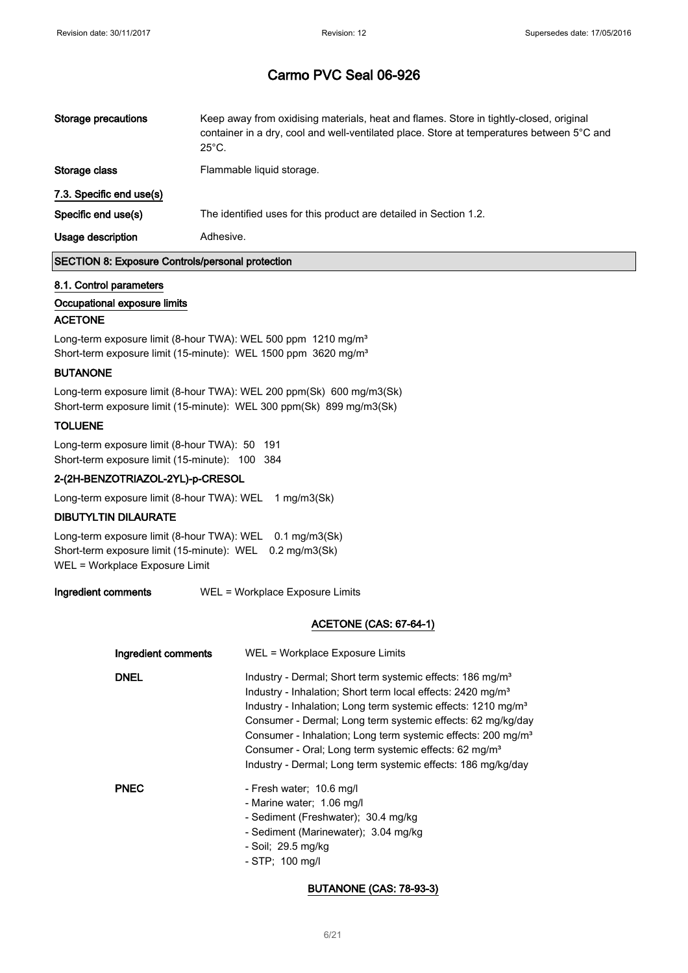| Storage precautions<br>$25^{\circ}$ C. | Keep away from oxidising materials, heat and flames. Store in tightly-closed, original<br>container in a dry, cool and well-ventilated place. Store at temperatures between 5°C and |
|----------------------------------------|-------------------------------------------------------------------------------------------------------------------------------------------------------------------------------------|
| Storage class                          | Flammable liquid storage.                                                                                                                                                           |
| 7.3. Specific end use(s)               |                                                                                                                                                                                     |
| Specific end use(s)                    | The identified uses for this product are detailed in Section 1.2.                                                                                                                   |
| Usage description<br>Adhesive.         |                                                                                                                                                                                     |

### SECTION 8: Exposure Controls/personal protection

#### 8.1. Control parameters

#### Occupational exposure limits

#### ACETONE

Long-term exposure limit (8-hour TWA): WEL 500 ppm 1210 mg/m<sup>3</sup> Short-term exposure limit (15-minute): WEL 1500 ppm 3620 mg/m<sup>3</sup>

#### BUTANONE

Long-term exposure limit (8-hour TWA): WEL 200 ppm(Sk) 600 mg/m3(Sk) Short-term exposure limit (15-minute): WEL 300 ppm(Sk) 899 mg/m3(Sk)

#### TOLUENE

Long-term exposure limit (8-hour TWA): 50 191 Short-term exposure limit (15-minute): 100 384

#### 2-(2H-BENZOTRIAZOL-2YL)-p-CRESOL

Long-term exposure limit (8-hour TWA): WEL 1 mg/m3(Sk)

#### DIBUTYLTIN DILAURATE

Long-term exposure limit (8-hour TWA): WEL 0.1 mg/m3(Sk) Short-term exposure limit (15-minute): WEL 0.2 mg/m3(Sk) WEL = Workplace Exposure Limit

Ingredient comments WEL = Workplace Exposure Limits

#### ACETONE (CAS: 67-64-1)

| Ingredient comments | WEL = Workplace Exposure Limits                                                                                                                                                                                                                                                                                                                                                                                                                                                                               |
|---------------------|---------------------------------------------------------------------------------------------------------------------------------------------------------------------------------------------------------------------------------------------------------------------------------------------------------------------------------------------------------------------------------------------------------------------------------------------------------------------------------------------------------------|
| <b>DNEL</b>         | Industry - Dermal; Short term systemic effects: 186 mg/m <sup>3</sup><br>Industry - Inhalation; Short term local effects: 2420 mg/m <sup>3</sup><br>Industry - Inhalation; Long term systemic effects: 1210 mg/m <sup>3</sup><br>Consumer - Dermal; Long term systemic effects: 62 mg/kg/day<br>Consumer - Inhalation; Long term systemic effects: 200 mg/m <sup>3</sup><br>Consumer - Oral; Long term systemic effects: 62 mg/m <sup>3</sup><br>Industry - Dermal; Long term systemic effects: 186 mg/kg/day |
| <b>PNEC</b>         | - Fresh water; 10.6 mg/l<br>- Marine water; 1.06 mg/l<br>- Sediment (Freshwater); 30.4 mg/kg<br>- Sediment (Marinewater); 3.04 mg/kg<br>- Soil; 29.5 mg/kg<br>$-$ STP; 100 mg/l                                                                                                                                                                                                                                                                                                                               |

#### BUTANONE (CAS: 78-93-3)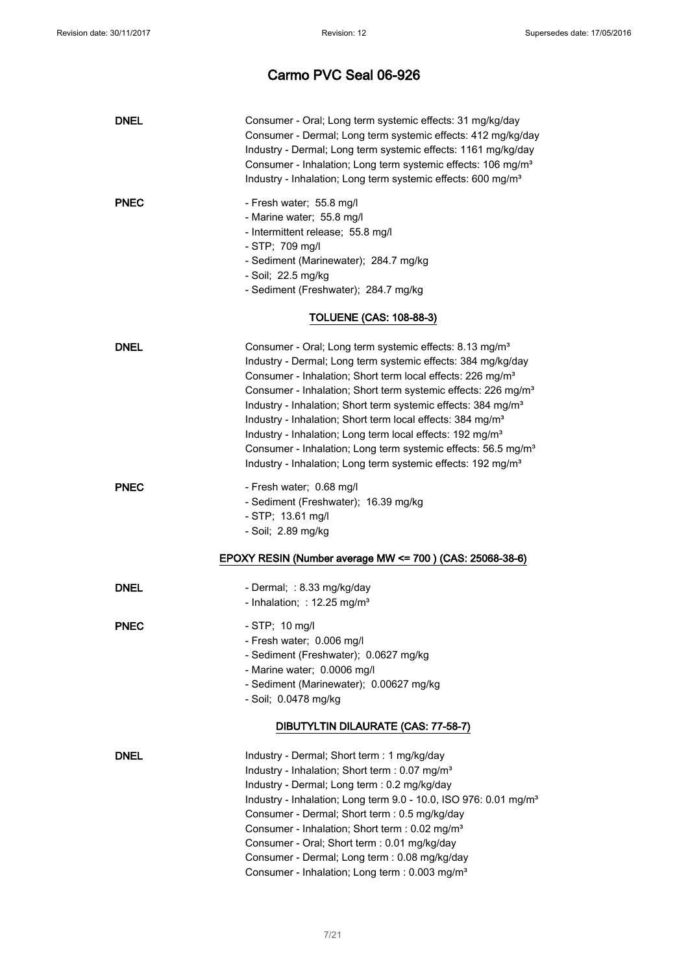| <b>DNEL</b> | Consumer - Oral; Long term systemic effects: 31 mg/kg/day<br>Consumer - Dermal; Long term systemic effects: 412 mg/kg/day<br>Industry - Dermal; Long term systemic effects: 1161 mg/kg/day<br>Consumer - Inhalation; Long term systemic effects: 106 mg/m <sup>3</sup><br>Industry - Inhalation; Long term systemic effects: 600 mg/m <sup>3</sup>                                                                                                                                                                                                                                                                                                                                  |
|-------------|-------------------------------------------------------------------------------------------------------------------------------------------------------------------------------------------------------------------------------------------------------------------------------------------------------------------------------------------------------------------------------------------------------------------------------------------------------------------------------------------------------------------------------------------------------------------------------------------------------------------------------------------------------------------------------------|
| <b>PNEC</b> | - Fresh water; 55.8 mg/l<br>- Marine water; 55.8 mg/l<br>- Intermittent release; 55.8 mg/l<br>- STP; 709 mg/l<br>- Sediment (Marinewater); 284.7 mg/kg<br>- Soil; 22.5 mg/kg<br>- Sediment (Freshwater); 284.7 mg/kg                                                                                                                                                                                                                                                                                                                                                                                                                                                                |
|             | <b>TOLUENE (CAS: 108-88-3)</b>                                                                                                                                                                                                                                                                                                                                                                                                                                                                                                                                                                                                                                                      |
| <b>DNEL</b> | Consumer - Oral; Long term systemic effects: 8.13 mg/m <sup>3</sup><br>Industry - Dermal; Long term systemic effects: 384 mg/kg/day<br>Consumer - Inhalation; Short term local effects: 226 mg/m <sup>3</sup><br>Consumer - Inhalation; Short term systemic effects: 226 mg/m <sup>3</sup><br>Industry - Inhalation; Short term systemic effects: 384 mg/m <sup>3</sup><br>Industry - Inhalation; Short term local effects: 384 mg/m <sup>3</sup><br>Industry - Inhalation; Long term local effects: 192 mg/m <sup>3</sup><br>Consumer - Inhalation; Long term systemic effects: 56.5 mg/m <sup>3</sup><br>Industry - Inhalation; Long term systemic effects: 192 mg/m <sup>3</sup> |
| <b>PNEC</b> | - Fresh water; 0.68 mg/l<br>- Sediment (Freshwater); 16.39 mg/kg<br>- STP; 13.61 mg/l<br>- Soil; 2.89 mg/kg                                                                                                                                                                                                                                                                                                                                                                                                                                                                                                                                                                         |
|             | EPOXY RESIN (Number average MW <= 700) (CAS: 25068-38-6)                                                                                                                                                                                                                                                                                                                                                                                                                                                                                                                                                                                                                            |
| <b>DNEL</b> | - Dermal; : 8.33 mg/kg/day<br>- Inhalation; : 12.25 mg/m <sup>3</sup>                                                                                                                                                                                                                                                                                                                                                                                                                                                                                                                                                                                                               |
| <b>PNEC</b> | - STP; 10 mg/l<br>- Fresh water; 0.006 mg/l<br>- Sediment (Freshwater); 0.0627 mg/kg<br>- Marine water; 0.0006 mg/l<br>- Sediment (Marinewater); 0.00627 mg/kg<br>- Soil; 0.0478 mg/kg                                                                                                                                                                                                                                                                                                                                                                                                                                                                                              |
|             | DIBUTYLTIN DILAURATE (CAS: 77-58-7)                                                                                                                                                                                                                                                                                                                                                                                                                                                                                                                                                                                                                                                 |
| <b>DNEL</b> | Industry - Dermal; Short term : 1 mg/kg/day<br>Industry - Inhalation; Short term : 0.07 mg/m <sup>3</sup><br>Industry - Dermal; Long term : 0.2 mg/kg/day<br>Industry - Inhalation; Long term 9.0 - 10.0, ISO 976: 0.01 mg/m <sup>3</sup><br>Consumer - Dermal; Short term : 0.5 mg/kg/day<br>Consumer - Inhalation; Short term : 0.02 mg/m <sup>3</sup><br>Consumer - Oral; Short term : 0.01 mg/kg/day<br>Consumer - Dermal; Long term : 0.08 mg/kg/day<br>Consumer - Inhalation; Long term : 0.003 mg/m <sup>3</sup>                                                                                                                                                             |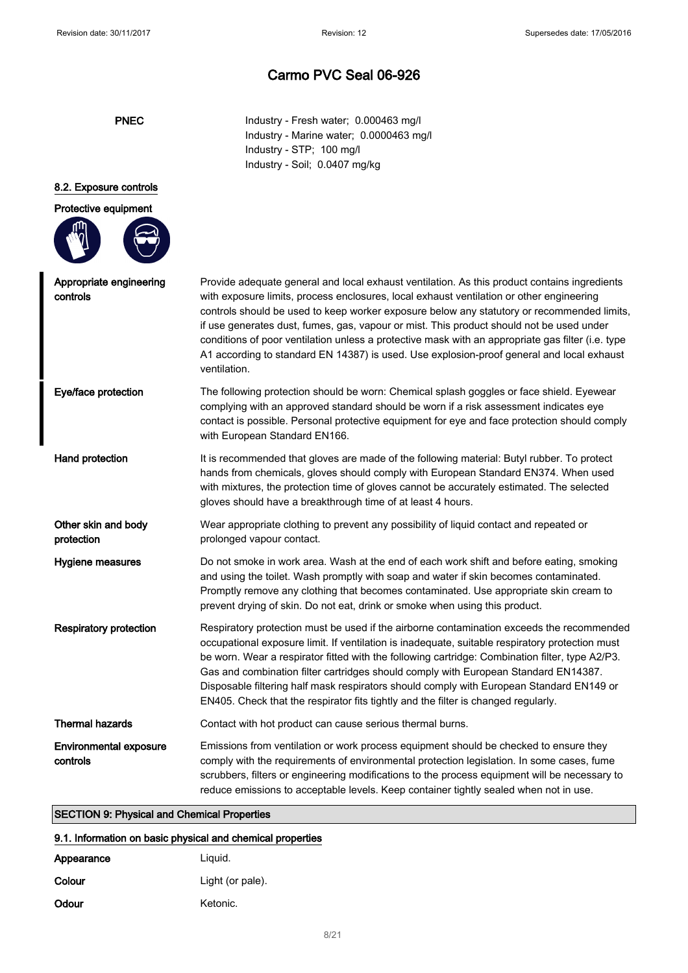| ۱ı<br>÷ |  |
|---------|--|
|---------|--|

Industry - Fresh water; 0.000463 mg/l Industry - Marine water; 0.0000463 mg/l Industry - STP; 100 mg/l Industry - Soil; 0.0407 mg/kg

### 8.2. Exposure controls

| Protective equipment                      |                                                                                                                                                                                                                                                                                                                                                                                                                                                                                                                                                                                                      |
|-------------------------------------------|------------------------------------------------------------------------------------------------------------------------------------------------------------------------------------------------------------------------------------------------------------------------------------------------------------------------------------------------------------------------------------------------------------------------------------------------------------------------------------------------------------------------------------------------------------------------------------------------------|
|                                           |                                                                                                                                                                                                                                                                                                                                                                                                                                                                                                                                                                                                      |
| Appropriate engineering<br>controls       | Provide adequate general and local exhaust ventilation. As this product contains ingredients<br>with exposure limits, process enclosures, local exhaust ventilation or other engineering<br>controls should be used to keep worker exposure below any statutory or recommended limits,<br>if use generates dust, fumes, gas, vapour or mist. This product should not be used under<br>conditions of poor ventilation unless a protective mask with an appropriate gas filter (i.e. type<br>A1 according to standard EN 14387) is used. Use explosion-proof general and local exhaust<br>ventilation. |
| Eye/face protection                       | The following protection should be worn: Chemical splash goggles or face shield. Eyewear<br>complying with an approved standard should be worn if a risk assessment indicates eye<br>contact is possible. Personal protective equipment for eye and face protection should comply<br>with European Standard EN166.                                                                                                                                                                                                                                                                                   |
| Hand protection                           | It is recommended that gloves are made of the following material: Butyl rubber. To protect<br>hands from chemicals, gloves should comply with European Standard EN374. When used<br>with mixtures, the protection time of gloves cannot be accurately estimated. The selected<br>gloves should have a breakthrough time of at least 4 hours.                                                                                                                                                                                                                                                         |
| Other skin and body<br>protection         | Wear appropriate clothing to prevent any possibility of liquid contact and repeated or<br>prolonged vapour contact.                                                                                                                                                                                                                                                                                                                                                                                                                                                                                  |
| Hygiene measures                          | Do not smoke in work area. Wash at the end of each work shift and before eating, smoking<br>and using the toilet. Wash promptly with soap and water if skin becomes contaminated.<br>Promptly remove any clothing that becomes contaminated. Use appropriate skin cream to<br>prevent drying of skin. Do not eat, drink or smoke when using this product.                                                                                                                                                                                                                                            |
| <b>Respiratory protection</b>             | Respiratory protection must be used if the airborne contamination exceeds the recommended<br>occupational exposure limit. If ventilation is inadequate, suitable respiratory protection must<br>be worn. Wear a respirator fitted with the following cartridge: Combination filter, type A2/P3.<br>Gas and combination filter cartridges should comply with European Standard EN14387.<br>Disposable filtering half mask respirators should comply with European Standard EN149 or<br>EN405. Check that the respirator fits tightly and the filter is changed regularly.                             |
| <b>Thermal hazards</b>                    | Contact with hot product can cause serious thermal burns.                                                                                                                                                                                                                                                                                                                                                                                                                                                                                                                                            |
| <b>Environmental exposure</b><br>controls | Emissions from ventilation or work process equipment should be checked to ensure they<br>comply with the requirements of environmental protection legislation. In some cases, fume<br>scrubbers, filters or engineering modifications to the process equipment will be necessary to<br>reduce emissions to acceptable levels. Keep container tightly sealed when not in use.                                                                                                                                                                                                                         |

#### 9.1. Information on basic physical and chemical properties

| Appearance | Liguid.          |
|------------|------------------|
| Colour     | Light (or pale). |
| Odour      | Ketonic.         |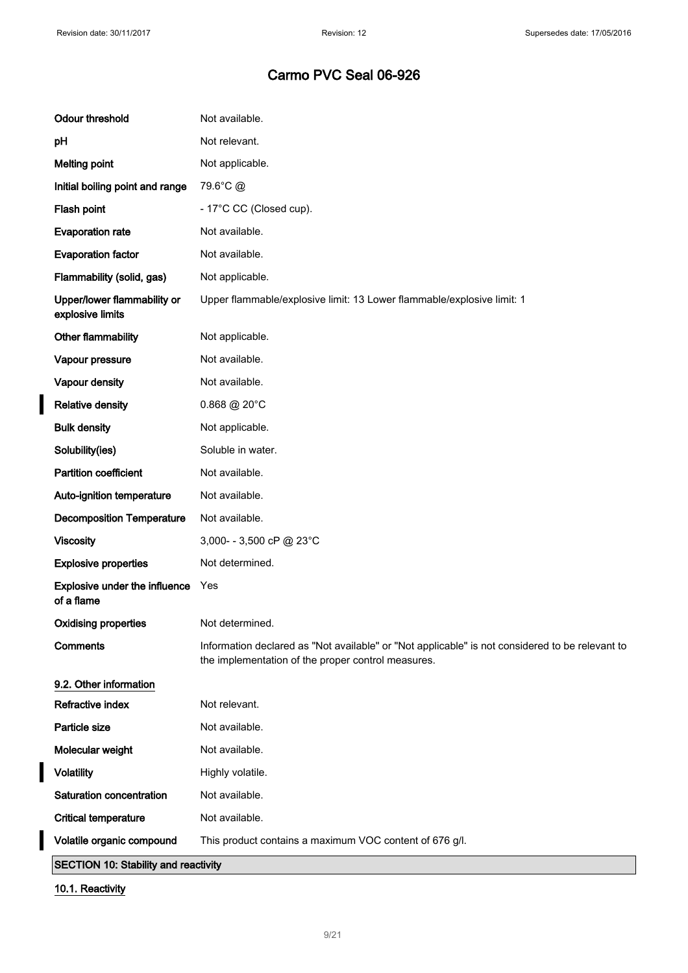$\overline{\mathbf{I}}$ 

## Carmo PVC Seal 06-926

| <b>Critical temperature</b><br>Volatile organic compound | Not available.<br>This product contains a maximum VOC content of 676 g/l.                                                                             |
|----------------------------------------------------------|-------------------------------------------------------------------------------------------------------------------------------------------------------|
| Saturation concentration                                 | Not available.                                                                                                                                        |
| <b>Volatility</b>                                        | Highly volatile.                                                                                                                                      |
| Molecular weight                                         | Not available.                                                                                                                                        |
| Particle size                                            | Not available.                                                                                                                                        |
| Refractive index                                         | Not relevant.                                                                                                                                         |
| 9.2. Other information                                   |                                                                                                                                                       |
| <b>Comments</b>                                          | Information declared as "Not available" or "Not applicable" is not considered to be relevant to<br>the implementation of the proper control measures. |
| <b>Oxidising properties</b>                              | Not determined.                                                                                                                                       |
| <b>Explosive under the influence</b><br>of a flame       | Yes                                                                                                                                                   |
| <b>Explosive properties</b>                              | Not determined.                                                                                                                                       |
| <b>Viscosity</b>                                         | 3,000- - 3,500 cP @ 23°C                                                                                                                              |
| <b>Decomposition Temperature</b>                         | Not available.                                                                                                                                        |
| Auto-ignition temperature                                | Not available.                                                                                                                                        |
| <b>Partition coefficient</b>                             | Not available.                                                                                                                                        |
| Solubility(ies)                                          | Soluble in water.                                                                                                                                     |
| <b>Bulk density</b>                                      | Not applicable.                                                                                                                                       |
| <b>Relative density</b>                                  | $0.868 \ @ 20^{\circ}$ C                                                                                                                              |
| Vapour density                                           | Not available.                                                                                                                                        |
| Vapour pressure                                          | Not available.                                                                                                                                        |
| Other flammability                                       | Not applicable.                                                                                                                                       |
| Upper/lower flammability or<br>explosive limits          | Upper flammable/explosive limit: 13 Lower flammable/explosive limit: 1                                                                                |
| Flammability (solid, gas)                                | Not applicable.                                                                                                                                       |
| <b>Evaporation factor</b>                                | Not available.                                                                                                                                        |
| <b>Evaporation rate</b>                                  | Not available.                                                                                                                                        |
| Flash point                                              | - 17°C CC (Closed cup).                                                                                                                               |
| Initial boiling point and range                          | 79.6°C @                                                                                                                                              |
| <b>Melting point</b>                                     | Not applicable.                                                                                                                                       |
| pH                                                       | Not relevant.                                                                                                                                         |
| <b>Odour threshold</b>                                   | Not available.                                                                                                                                        |

10.1. Reactivity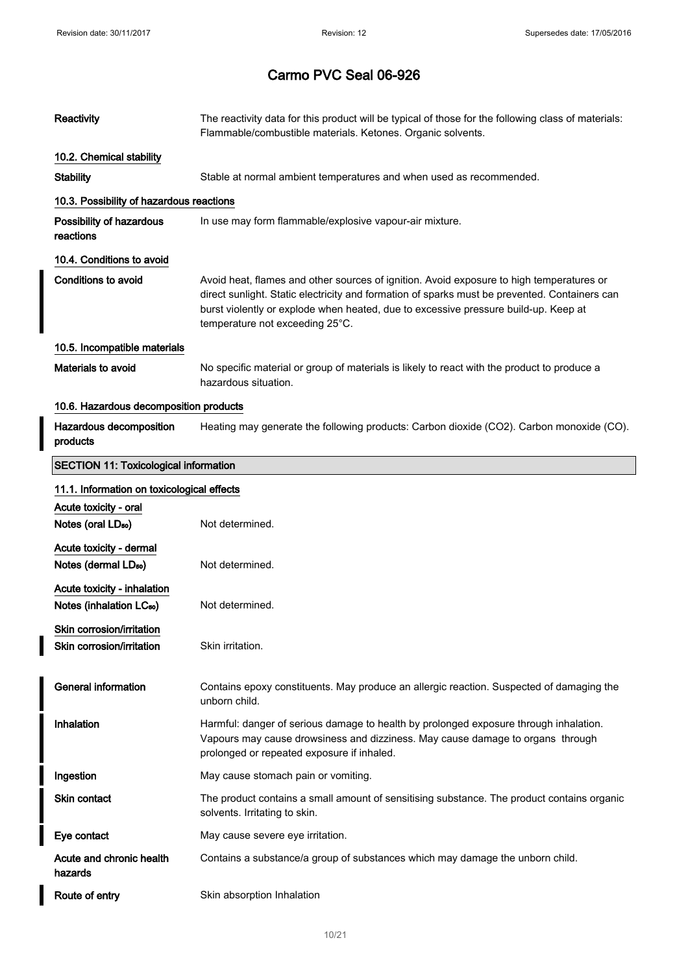$\overline{\phantom{a}}$ 

| Reactivity                                                          | The reactivity data for this product will be typical of those for the following class of materials:<br>Flammable/combustible materials. Ketones. Organic solvents.                                                                                                                                                  |  |  |  |
|---------------------------------------------------------------------|---------------------------------------------------------------------------------------------------------------------------------------------------------------------------------------------------------------------------------------------------------------------------------------------------------------------|--|--|--|
| 10.2. Chemical stability                                            |                                                                                                                                                                                                                                                                                                                     |  |  |  |
| <b>Stability</b>                                                    | Stable at normal ambient temperatures and when used as recommended.                                                                                                                                                                                                                                                 |  |  |  |
| 10.3. Possibility of hazardous reactions                            |                                                                                                                                                                                                                                                                                                                     |  |  |  |
| Possibility of hazardous<br>reactions                               | In use may form flammable/explosive vapour-air mixture.                                                                                                                                                                                                                                                             |  |  |  |
| 10.4. Conditions to avoid                                           |                                                                                                                                                                                                                                                                                                                     |  |  |  |
| <b>Conditions to avoid</b>                                          | Avoid heat, flames and other sources of ignition. Avoid exposure to high temperatures or<br>direct sunlight. Static electricity and formation of sparks must be prevented. Containers can<br>burst violently or explode when heated, due to excessive pressure build-up. Keep at<br>temperature not exceeding 25°C. |  |  |  |
| 10.5. Incompatible materials                                        |                                                                                                                                                                                                                                                                                                                     |  |  |  |
| Materials to avoid                                                  | No specific material or group of materials is likely to react with the product to produce a<br>hazardous situation.                                                                                                                                                                                                 |  |  |  |
| 10.6. Hazardous decomposition products                              |                                                                                                                                                                                                                                                                                                                     |  |  |  |
| Hazardous decomposition<br>products                                 | Heating may generate the following products: Carbon dioxide (CO2). Carbon monoxide (CO).                                                                                                                                                                                                                            |  |  |  |
| <b>SECTION 11: Toxicological information</b>                        |                                                                                                                                                                                                                                                                                                                     |  |  |  |
| 11.1. Information on toxicological effects                          |                                                                                                                                                                                                                                                                                                                     |  |  |  |
| Acute toxicity - oral                                               |                                                                                                                                                                                                                                                                                                                     |  |  |  |
| Notes (oral LD <sub>50</sub> )                                      | Not determined.                                                                                                                                                                                                                                                                                                     |  |  |  |
| Acute toxicity - dermal<br>Notes (dermal LD <sub>50</sub> )         | Not determined.                                                                                                                                                                                                                                                                                                     |  |  |  |
|                                                                     |                                                                                                                                                                                                                                                                                                                     |  |  |  |
| Acute toxicity - inhalation<br>Notes (inhalation LC <sub>50</sub> ) | Not determined.                                                                                                                                                                                                                                                                                                     |  |  |  |
| Skin corrosion/irritation<br>Skin corrosion/irritation              | Skin irritation.                                                                                                                                                                                                                                                                                                    |  |  |  |
| <b>General information</b>                                          | Contains epoxy constituents. May produce an allergic reaction. Suspected of damaging the<br>unborn child.                                                                                                                                                                                                           |  |  |  |
| Inhalation                                                          | Harmful: danger of serious damage to health by prolonged exposure through inhalation.<br>Vapours may cause drowsiness and dizziness. May cause damage to organs through<br>prolonged or repeated exposure if inhaled.                                                                                               |  |  |  |
| Ingestion                                                           | May cause stomach pain or vomiting.                                                                                                                                                                                                                                                                                 |  |  |  |
| <b>Skin contact</b>                                                 | The product contains a small amount of sensitising substance. The product contains organic<br>solvents. Irritating to skin.                                                                                                                                                                                         |  |  |  |
| Eye contact                                                         | May cause severe eye irritation.                                                                                                                                                                                                                                                                                    |  |  |  |
| Acute and chronic health<br>hazards                                 | Contains a substance/a group of substances which may damage the unborn child.                                                                                                                                                                                                                                       |  |  |  |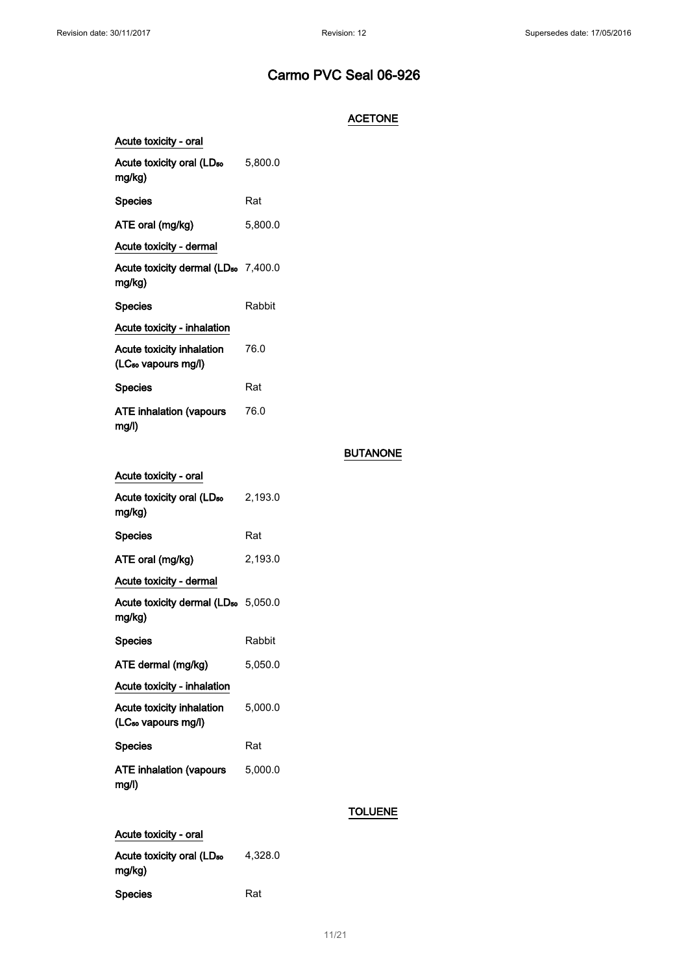### **ACETONE**

| Acute toxicity - oral                                        |         |
|--------------------------------------------------------------|---------|
| Acute toxicity oral (LD <sub>50</sub><br>mg/kg)              | 5,800.0 |
| <b>Species</b>                                               | Rat     |
| ATE oral (mg/kg)                                             | 5,800.0 |
| Acute toxicity - dermal                                      |         |
| Acute toxicity dermal (LD <sub>50</sub> 7,400.0<br>mg/kg)    |         |
| <b>Species</b>                                               | Rabbit  |
| Acute toxicity - inhalation                                  |         |
| Acute toxicity inhalation<br>(LC <sub>50</sub> vapours mg/l) | 76.0    |
| <b>Species</b>                                               | Rat     |
| <b>ATE inhalation (vapours</b><br>mg/l)                      | 76.0    |
| Acute toxicity - oral                                        |         |
| Acute toxicity oral (LD <sub>50</sub>                        | 2,193.0 |

### BUTANONE

| Acute toxicity oral (LD <sub>50</sub><br>2,193.0 |
|--------------------------------------------------|
| Rat                                              |
| 2,193.0                                          |
|                                                  |
| Acute toxicity dermal (LD <sub>50</sub> 5,050.0  |
| Rabbit                                           |
| 5,050.0                                          |
|                                                  |
| 5,000.0                                          |
| Rat                                              |
| 5,000.0                                          |
|                                                  |

### TOLUENE

| Acute toxicity - oral                           |         |  |
|-------------------------------------------------|---------|--|
| Acute toxicity oral (LD <sub>50</sub><br>mg/kg) | 4.328.0 |  |
| <b>Species</b>                                  | Rat     |  |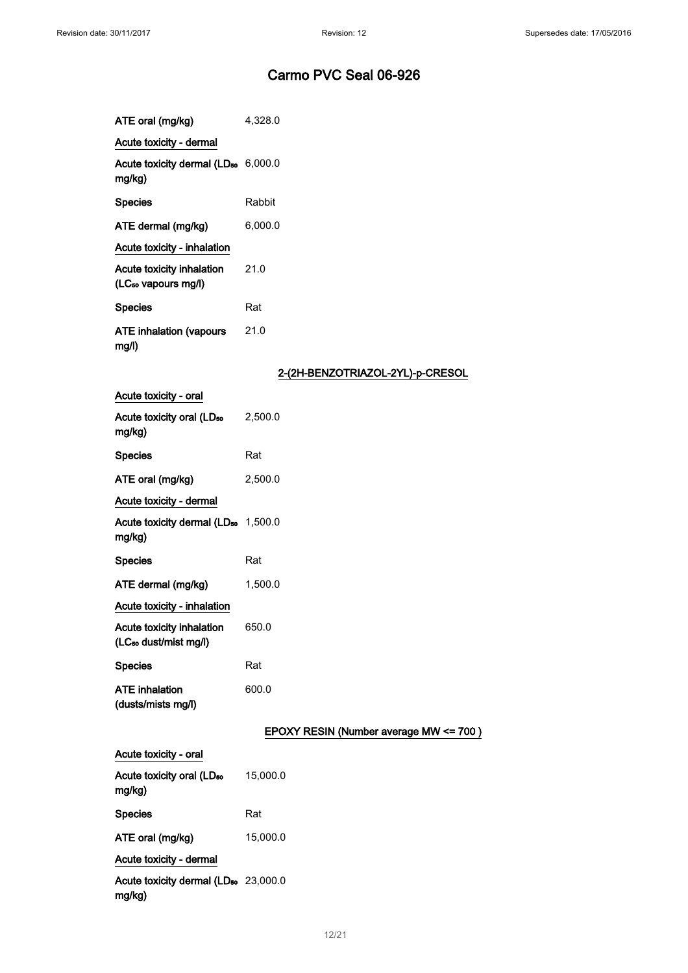| ATE oral (mg/kg)                                             | 4,328.0 |
|--------------------------------------------------------------|---------|
| Acute toxicity - dermal                                      |         |
| Acute toxicity dermal (LD <sub>50</sub> 6,000.0<br>ma/ka)    |         |
| <b>Species</b>                                               | Rabbit  |
| ATE dermal (mg/kg)                                           | 6,000.0 |
| Acute toxicity - inhalation                                  |         |
| Acute toxicity inhalation<br>(LC <sub>50</sub> vapours mg/l) | 21.0    |
| <b>Species</b>                                               | Rat     |
| <b>ATE inhalation (vapours</b><br>mq/l                       | 21.0    |

### 2-(2H-BENZOTRIAZOL-2YL)-p-CRESOL

| Acute toxicity - oral                                          |                                        |
|----------------------------------------------------------------|----------------------------------------|
| Acute toxicity oral (LD <sub>50</sub><br>mg/kg)                | 2,500.0                                |
| <b>Species</b>                                                 | Rat                                    |
| ATE oral (mg/kg)                                               | 2,500.0                                |
| Acute toxicity - dermal                                        |                                        |
| Acute toxicity dermal (LD <sub>50</sub> 1,500.0<br>mg/kg)      |                                        |
| <b>Species</b>                                                 | Rat                                    |
| ATE dermal (mg/kg)                                             | 1,500.0                                |
| Acute toxicity - inhalation                                    |                                        |
| Acute toxicity inhalation<br>(LC <sub>so</sub> dust/mist mg/l) | 650.0                                  |
| <b>Species</b>                                                 | Rat                                    |
| <b>ATE</b> inhalation<br>(dusts/mists mg/l)                    | 600.0                                  |
|                                                                | EPOXY RESIN (Number average MW <= 700) |
| Acute toxicity - oral                                          |                                        |
| Acute toxicity oral (LD <sub>50</sub><br>mg/kg)                | 15,000.0                               |
| <b>Species</b>                                                 | Rat                                    |
| ATE oral (mg/kg)                                               | 15,000.0                               |
| Acute toxicity - dermal                                        |                                        |
| Acute toxicity dermal (LD <sub>50</sub> 23,000.0<br>mg/kg)     |                                        |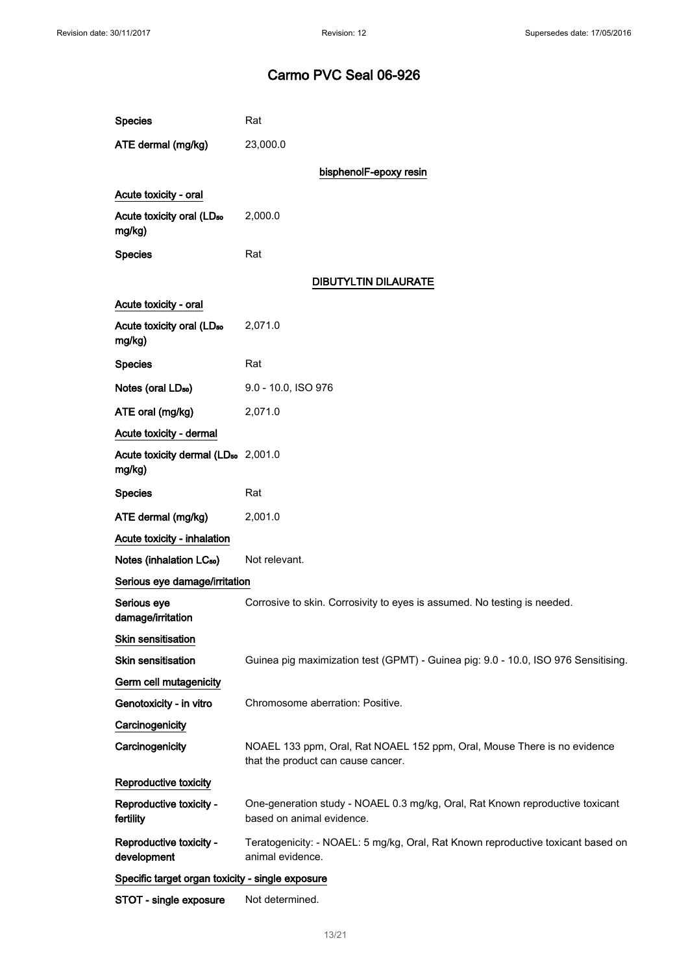| <b>Species</b>                                            | Rat                                                                                                            |  |  |  |
|-----------------------------------------------------------|----------------------------------------------------------------------------------------------------------------|--|--|--|
| ATE dermal (mg/kg)                                        | 23,000.0                                                                                                       |  |  |  |
|                                                           | bisphenolF-epoxy resin                                                                                         |  |  |  |
| Acute toxicity - oral                                     |                                                                                                                |  |  |  |
| Acute toxicity oral (LD <sub>50</sub><br>mg/kg)           | 2,000.0                                                                                                        |  |  |  |
| <b>Species</b>                                            | Rat                                                                                                            |  |  |  |
|                                                           | <b>DIBUTYLTIN DILAURATE</b>                                                                                    |  |  |  |
| Acute toxicity - oral                                     |                                                                                                                |  |  |  |
| Acute toxicity oral (LD <sub>50</sub><br>mg/kg)           | 2,071.0                                                                                                        |  |  |  |
| <b>Species</b>                                            | Rat                                                                                                            |  |  |  |
| Notes (oral LD <sub>50</sub> )                            | 9.0 - 10.0, ISO 976                                                                                            |  |  |  |
| ATE oral (mg/kg)                                          | 2,071.0                                                                                                        |  |  |  |
| Acute toxicity - dermal                                   |                                                                                                                |  |  |  |
| Acute toxicity dermal (LD <sub>50</sub> 2,001.0<br>mg/kg) |                                                                                                                |  |  |  |
| <b>Species</b>                                            | Rat                                                                                                            |  |  |  |
| ATE dermal (mg/kg)                                        | 2,001.0                                                                                                        |  |  |  |
| Acute toxicity - inhalation                               |                                                                                                                |  |  |  |
| Notes (inhalation LC <sub>50</sub> )                      | Not relevant.                                                                                                  |  |  |  |
| Serious eye damage/irritation                             |                                                                                                                |  |  |  |
| Serious eye<br>damage/irritation                          | Corrosive to skin. Corrosivity to eyes is assumed. No testing is needed.                                       |  |  |  |
| Skin sensitisation                                        |                                                                                                                |  |  |  |
| <b>Skin sensitisation</b>                                 | Guinea pig maximization test (GPMT) - Guinea pig: 9.0 - 10.0, ISO 976 Sensitising.                             |  |  |  |
| Germ cell mutagenicity                                    |                                                                                                                |  |  |  |
| Genotoxicity - in vitro                                   | Chromosome aberration: Positive.                                                                               |  |  |  |
| Carcinogenicity                                           |                                                                                                                |  |  |  |
| Carcinogenicity                                           | NOAEL 133 ppm, Oral, Rat NOAEL 152 ppm, Oral, Mouse There is no evidence<br>that the product can cause cancer. |  |  |  |
| Reproductive toxicity                                     |                                                                                                                |  |  |  |
| Reproductive toxicity -<br>fertility                      | One-generation study - NOAEL 0.3 mg/kg, Oral, Rat Known reproductive toxicant<br>based on animal evidence.     |  |  |  |
| Reproductive toxicity -<br>development                    | Teratogenicity: - NOAEL: 5 mg/kg, Oral, Rat Known reproductive toxicant based on<br>animal evidence.           |  |  |  |
| Specific target organ toxicity - single exposure          |                                                                                                                |  |  |  |
| STOT - single exposure                                    | Not determined.                                                                                                |  |  |  |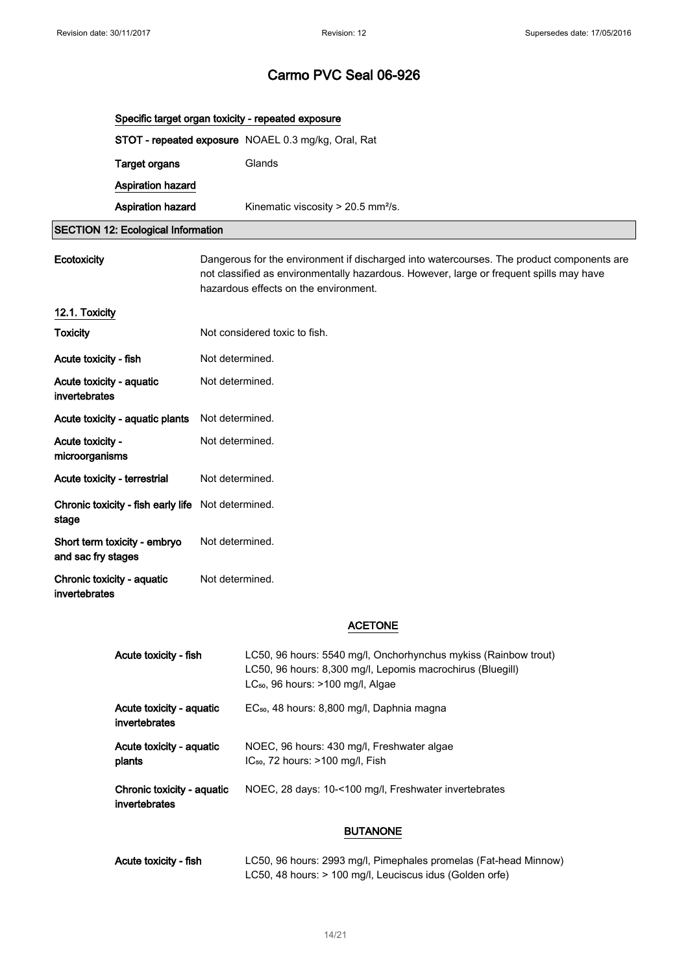|                                             | Specific target organ toxicity - repeated exposure                                                                                                                                                                            |                 |                                                                                                                                                                                |  |  |
|---------------------------------------------|-------------------------------------------------------------------------------------------------------------------------------------------------------------------------------------------------------------------------------|-----------------|--------------------------------------------------------------------------------------------------------------------------------------------------------------------------------|--|--|
|                                             |                                                                                                                                                                                                                               |                 | STOT - repeated exposure NOAEL 0.3 mg/kg, Oral, Rat                                                                                                                            |  |  |
|                                             | <b>Target organs</b>                                                                                                                                                                                                          |                 | Glands                                                                                                                                                                         |  |  |
|                                             | <b>Aspiration hazard</b>                                                                                                                                                                                                      |                 |                                                                                                                                                                                |  |  |
|                                             | Aspiration hazard                                                                                                                                                                                                             |                 | Kinematic viscosity > 20.5 mm <sup>2</sup> /s.                                                                                                                                 |  |  |
|                                             | <b>SECTION 12: Ecological Information</b>                                                                                                                                                                                     |                 |                                                                                                                                                                                |  |  |
| Ecotoxicity                                 | Dangerous for the environment if discharged into watercourses. The product components are<br>not classified as environmentally hazardous. However, large or frequent spills may have<br>hazardous effects on the environment. |                 |                                                                                                                                                                                |  |  |
| 12.1. Toxicity                              |                                                                                                                                                                                                                               |                 |                                                                                                                                                                                |  |  |
| <b>Toxicity</b>                             |                                                                                                                                                                                                                               |                 | Not considered toxic to fish.                                                                                                                                                  |  |  |
| Acute toxicity - fish                       |                                                                                                                                                                                                                               | Not determined. |                                                                                                                                                                                |  |  |
| Acute toxicity - aquatic<br>invertebrates   |                                                                                                                                                                                                                               | Not determined. |                                                                                                                                                                                |  |  |
|                                             | Acute toxicity - aquatic plants                                                                                                                                                                                               | Not determined. |                                                                                                                                                                                |  |  |
| Acute toxicity -<br>microorganisms          |                                                                                                                                                                                                                               | Not determined. |                                                                                                                                                                                |  |  |
| Acute toxicity - terrestrial                |                                                                                                                                                                                                                               | Not determined. |                                                                                                                                                                                |  |  |
| stage                                       | Chronic toxicity - fish early life                                                                                                                                                                                            | Not determined. |                                                                                                                                                                                |  |  |
| and sac fry stages                          | Short term toxicity - embryo                                                                                                                                                                                                  | Not determined. |                                                                                                                                                                                |  |  |
| Chronic toxicity - aquatic<br>invertebrates |                                                                                                                                                                                                                               | Not determined. |                                                                                                                                                                                |  |  |
|                                             |                                                                                                                                                                                                                               |                 | <b>ACETONE</b>                                                                                                                                                                 |  |  |
|                                             |                                                                                                                                                                                                                               |                 |                                                                                                                                                                                |  |  |
|                                             | Acute toxicity - fish                                                                                                                                                                                                         |                 | LC50, 96 hours: 5540 mg/l, Onchorhynchus mykiss (Rainbow trout)<br>LC50, 96 hours: 8,300 mg/l, Lepomis macrochirus (Bluegill)<br>LC <sub>50</sub> , 96 hours: >100 mg/l, Algae |  |  |
|                                             | Acute toxicity - aquatic<br>invertebrates                                                                                                                                                                                     |                 | EC <sub>50</sub> , 48 hours: 8,800 mg/l, Daphnia magna                                                                                                                         |  |  |
|                                             | Acute toxicity - aquatic<br>plants                                                                                                                                                                                            |                 | NOEC, 96 hours: 430 mg/l, Freshwater algae<br>IC <sub>50</sub> , 72 hours: >100 mg/l, Fish                                                                                     |  |  |
|                                             | Chronic toxicity - aquatic<br>invertebrates                                                                                                                                                                                   |                 | NOEC, 28 days: 10-<100 mg/l, Freshwater invertebrates                                                                                                                          |  |  |
|                                             |                                                                                                                                                                                                                               |                 | <b>BUTANONE</b>                                                                                                                                                                |  |  |
|                                             | Acute toxicity - fish                                                                                                                                                                                                         |                 | LC50, 96 hours: 2993 mg/l, Pimephales promelas (Fat-head Minnow)<br>LC50, 48 hours: > 100 mg/l, Leuciscus idus (Golden orfe)                                                   |  |  |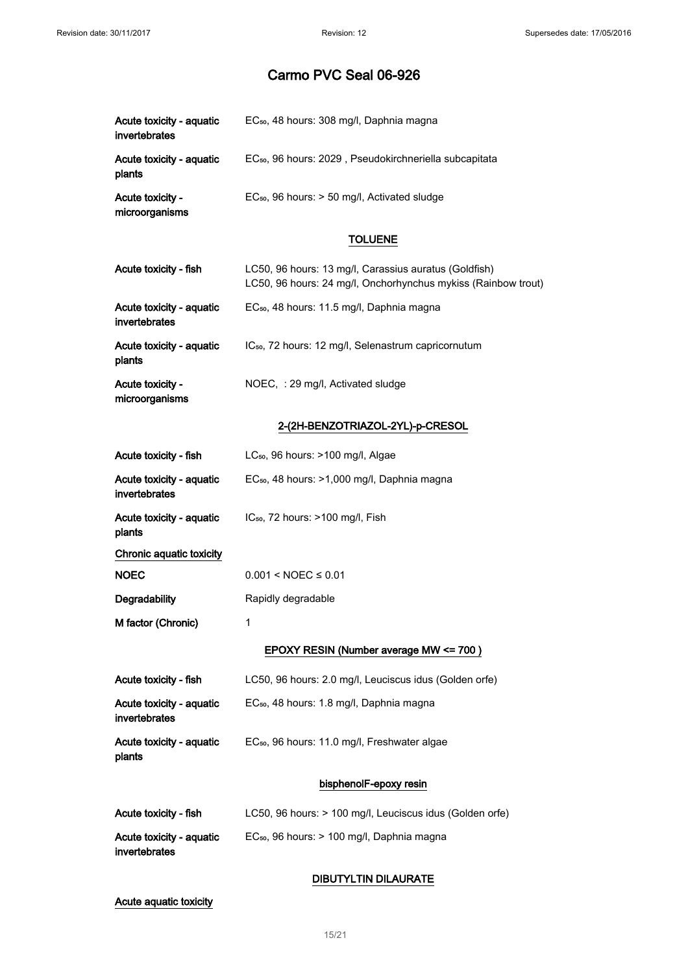| Acute toxicity - aquatic<br>invertebrates | EC <sub>50</sub> , 48 hours: 308 mg/l, Daphnia magna                                                                   |
|-------------------------------------------|------------------------------------------------------------------------------------------------------------------------|
| Acute toxicity - aquatic<br>plants        | EC <sub>50</sub> , 96 hours: 2029, Pseudokirchneriella subcapitata                                                     |
| Acute toxicity -<br>microorganisms        | EC <sub>50</sub> , 96 hours: > 50 mg/l, Activated sludge                                                               |
|                                           | <b>TOLUENE</b>                                                                                                         |
| Acute toxicity - fish                     | LC50, 96 hours: 13 mg/l, Carassius auratus (Goldfish)<br>LC50, 96 hours: 24 mg/l, Onchorhynchus mykiss (Rainbow trout) |
| Acute toxicity - aquatic<br>invertebrates | EC <sub>50</sub> , 48 hours: 11.5 mg/l, Daphnia magna                                                                  |
| Acute toxicity - aquatic<br>plants        | IC <sub>50</sub> , 72 hours: 12 mg/l, Selenastrum capricornutum                                                        |
| Acute toxicity -<br>microorganisms        | NOEC, : 29 mg/l, Activated sludge                                                                                      |
|                                           | 2-(2H-BENZOTRIAZOL-2YL)-p-CRESOL                                                                                       |
| Acute toxicity - fish                     | LC <sub>50</sub> , 96 hours: >100 mg/l, Algae                                                                          |
| Acute toxicity - aquatic<br>invertebrates | EC <sub>50</sub> , 48 hours: >1,000 mg/l, Daphnia magna                                                                |
| Acute toxicity - aquatic<br>plants        | IC <sub>50</sub> , 72 hours: >100 mg/l, Fish                                                                           |
| Chronic aquatic toxicity                  |                                                                                                                        |
| <b>NOEC</b>                               | $0.001 < NOEC \leq 0.01$                                                                                               |
| Degradability                             | Rapidly degradable                                                                                                     |
| M factor (Chronic)                        | 1                                                                                                                      |
|                                           | EPOXY RESIN (Number average MW <= 700)                                                                                 |
| Acute toxicity - fish                     | LC50, 96 hours: 2.0 mg/l, Leuciscus idus (Golden orfe)                                                                 |
| Acute toxicity - aquatic<br>invertebrates | EC <sub>50</sub> , 48 hours: 1.8 mg/l, Daphnia magna                                                                   |
| Acute toxicity - aquatic<br>plants        | EC <sub>50</sub> , 96 hours: 11.0 mg/l, Freshwater algae                                                               |
|                                           | bisphenolF-epoxy resin                                                                                                 |
| Acute toxicity - fish                     | LC50, 96 hours: > 100 mg/l, Leuciscus idus (Golden orfe)                                                               |
| Acute toxicity - aquatic<br>invertebrates | EC <sub>50</sub> , 96 hours: > 100 mg/l, Daphnia magna                                                                 |
|                                           | <b>DIBUTYLTIN DILAURATE</b>                                                                                            |

Acute aquatic toxicity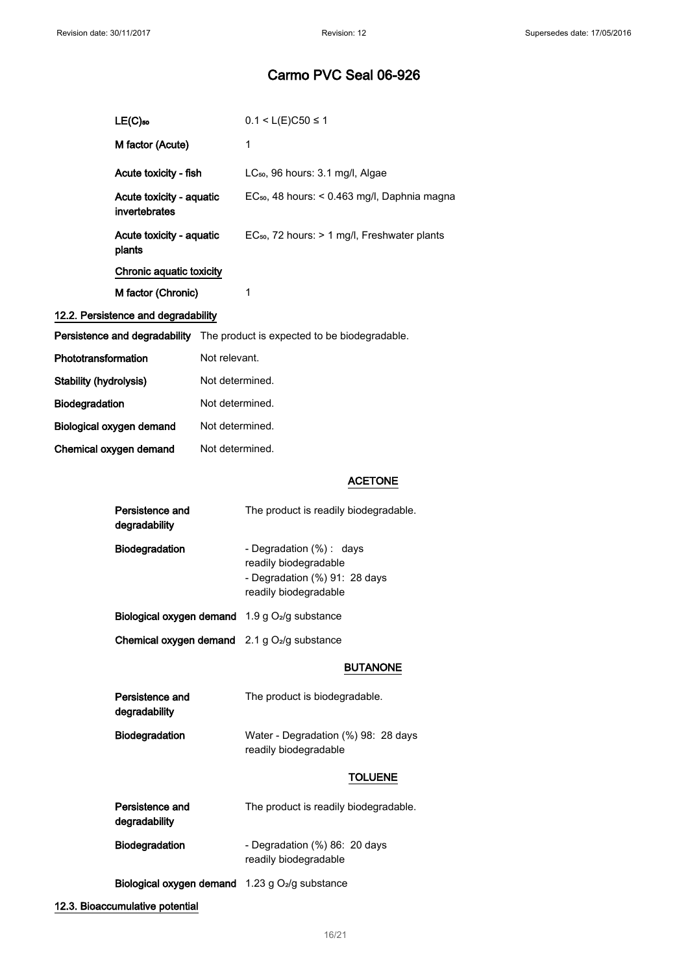|                               | $LE(C)$ 50                                |                 | $0.1 < L(E)C50 \le 1$                                                                                      |
|-------------------------------|-------------------------------------------|-----------------|------------------------------------------------------------------------------------------------------------|
|                               | M factor (Acute)                          |                 | 1                                                                                                          |
|                               | Acute toxicity - fish                     |                 | LC <sub>50</sub> , 96 hours: 3.1 mg/l, Algae                                                               |
|                               | Acute toxicity - aquatic<br>invertebrates |                 | EC <sub>50</sub> , 48 hours: < 0.463 mg/l, Daphnia magna                                                   |
|                               | Acute toxicity - aquatic<br>plants        |                 | EC <sub>50</sub> , 72 hours: > 1 mg/l, Freshwater plants                                                   |
|                               | Chronic aquatic toxicity                  |                 |                                                                                                            |
|                               | M factor (Chronic)                        |                 | 1                                                                                                          |
|                               | 12.2. Persistence and degradability       |                 |                                                                                                            |
|                               |                                           |                 | Persistence and degradability The product is expected to be biodegradable.                                 |
| Phototransformation           |                                           | Not relevant.   |                                                                                                            |
| <b>Stability (hydrolysis)</b> |                                           | Not determined. |                                                                                                            |
| Biodegradation                |                                           | Not determined. |                                                                                                            |
|                               | Biological oxygen demand                  | Not determined. |                                                                                                            |
|                               | Chemical oxygen demand                    | Not determined. |                                                                                                            |
|                               |                                           |                 | <b>ACETONE</b>                                                                                             |
|                               |                                           |                 |                                                                                                            |
|                               | Persistence and<br>degradability          |                 | The product is readily biodegradable.                                                                      |
|                               | Biodegradation                            |                 | - Degradation (%): days<br>readily biodegradable<br>- Degradation (%) 91: 28 days<br>readily biodegradable |
|                               |                                           |                 | Biological oxygen demand 1.9 g O <sub>2</sub> /g substance                                                 |
|                               |                                           |                 | <b>Chemical oxygen demand</b> $2.1 g O2/g$ substance                                                       |
|                               |                                           |                 | <b>BUTANONE</b>                                                                                            |
|                               | Persistence and<br>degradability          |                 | The product is biodegradable.                                                                              |
|                               | Biodegradation                            |                 | Water - Degradation (%) 98: 28 days<br>readily biodegradable                                               |
|                               |                                           |                 | TOLUENE                                                                                                    |
|                               | Persistence and<br>degradability          |                 | The product is readily biodegradable.                                                                      |
|                               | Biodegradation                            |                 | - Degradation (%) 86: 20 days<br>readily biodegradable                                                     |

12.3. Bioaccumulative potential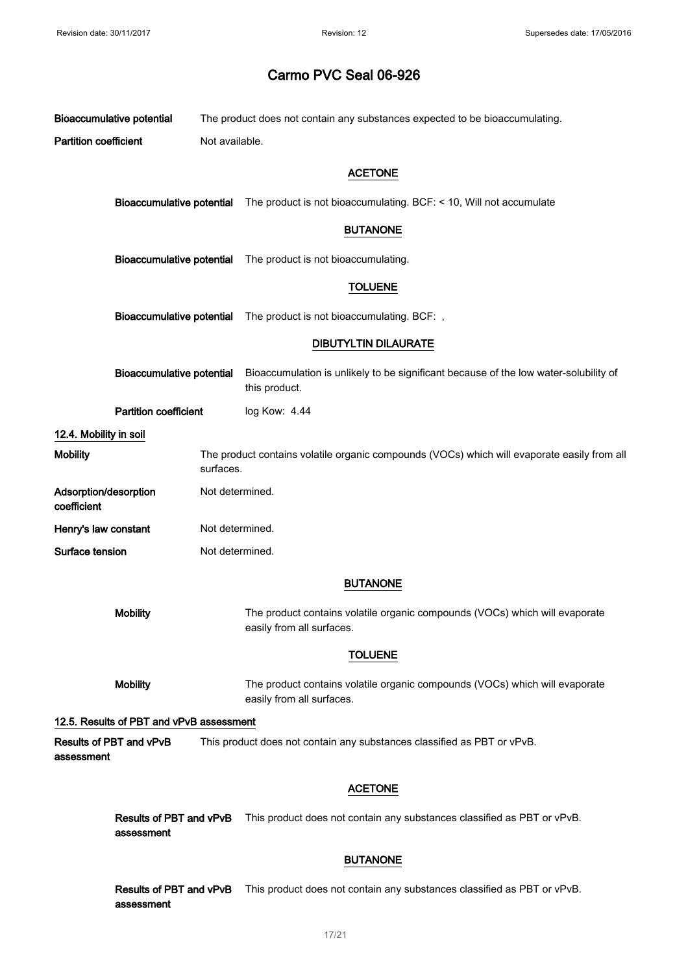|                                      | <b>Bioaccumulative potential</b><br>The product does not contain any substances expected to be bioaccumulating. |                 |                                                                                                          |  |  |  |
|--------------------------------------|-----------------------------------------------------------------------------------------------------------------|-----------------|----------------------------------------------------------------------------------------------------------|--|--|--|
| <b>Partition coefficient</b>         |                                                                                                                 |                 | Not available.                                                                                           |  |  |  |
|                                      |                                                                                                                 |                 | <b>ACETONE</b>                                                                                           |  |  |  |
|                                      | <b>Bioaccumulative potential</b>                                                                                |                 | The product is not bioaccumulating. BCF: < 10, Will not accumulate                                       |  |  |  |
|                                      |                                                                                                                 |                 | <b>BUTANONE</b>                                                                                          |  |  |  |
|                                      | <b>Bioaccumulative potential</b>                                                                                |                 | The product is not bioaccumulating.                                                                      |  |  |  |
|                                      |                                                                                                                 |                 | <b>TOLUENE</b>                                                                                           |  |  |  |
|                                      | <b>Bioaccumulative potential</b>                                                                                |                 | The product is not bioaccumulating. BCF: ,                                                               |  |  |  |
|                                      |                                                                                                                 |                 | <b>DIBUTYLTIN DILAURATE</b>                                                                              |  |  |  |
|                                      | <b>Bioaccumulative potential</b>                                                                                |                 | Bioaccumulation is unlikely to be significant because of the low water-solubility of<br>this product.    |  |  |  |
|                                      | <b>Partition coefficient</b>                                                                                    |                 | log Kow: 4.44                                                                                            |  |  |  |
| 12.4. Mobility in soil               |                                                                                                                 |                 |                                                                                                          |  |  |  |
| <b>Mobility</b>                      |                                                                                                                 | surfaces.       | The product contains volatile organic compounds (VOCs) which will evaporate easily from all              |  |  |  |
| Adsorption/desorption<br>coefficient |                                                                                                                 | Not determined. |                                                                                                          |  |  |  |
| Henry's law constant                 |                                                                                                                 | Not determined. |                                                                                                          |  |  |  |
| Surface tension                      |                                                                                                                 |                 | Not determined.                                                                                          |  |  |  |
|                                      |                                                                                                                 |                 | <b>BUTANONE</b>                                                                                          |  |  |  |
|                                      | <b>Mobility</b>                                                                                                 |                 | The product contains volatile organic compounds (VOCs) which will evaporate<br>easily from all surfaces. |  |  |  |
|                                      |                                                                                                                 |                 | <b>TOLUENE</b>                                                                                           |  |  |  |
|                                      | <b>Mobility</b>                                                                                                 |                 | The product contains volatile organic compounds (VOCs) which will evaporate<br>easily from all surfaces. |  |  |  |
|                                      | 12.5. Results of PBT and vPvB assessment                                                                        |                 |                                                                                                          |  |  |  |
| assessment                           | Results of PBT and vPvB                                                                                         |                 | This product does not contain any substances classified as PBT or vPvB.                                  |  |  |  |
|                                      |                                                                                                                 |                 | <b>ACETONE</b>                                                                                           |  |  |  |
|                                      | Results of PBT and vPvB<br>assessment                                                                           |                 | This product does not contain any substances classified as PBT or vPvB.                                  |  |  |  |
|                                      |                                                                                                                 |                 | <b>BUTANONE</b>                                                                                          |  |  |  |
|                                      | Results of PBT and vPvB<br>assessment                                                                           |                 | This product does not contain any substances classified as PBT or vPvB.                                  |  |  |  |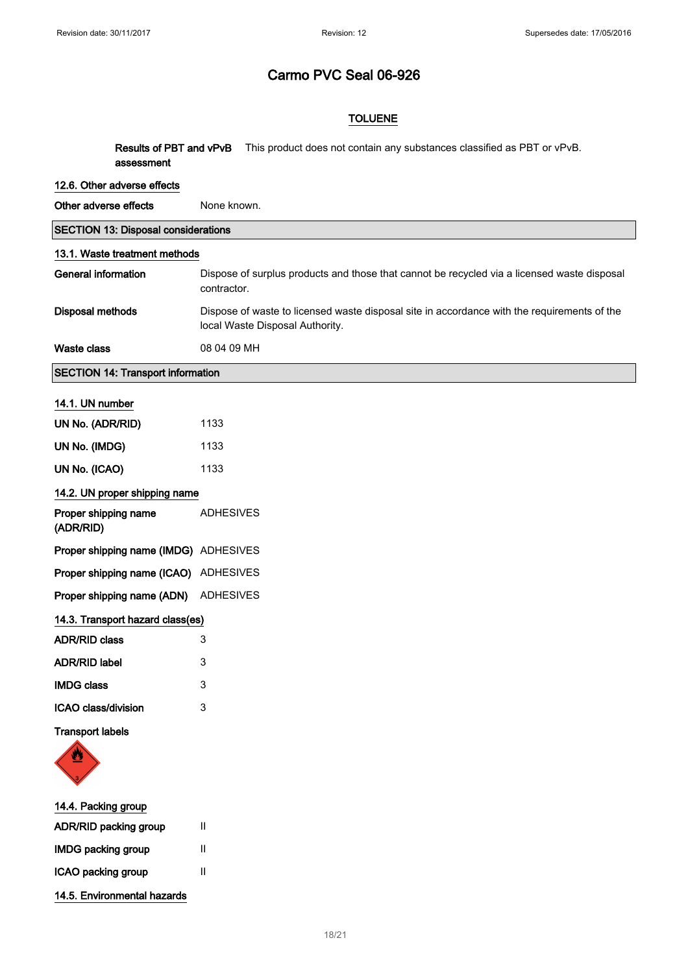#### TOLUENE

| assessment                                 | Results of PBT and vPvB<br>This product does not contain any substances classified as PBT or vPvB.                             |
|--------------------------------------------|--------------------------------------------------------------------------------------------------------------------------------|
| 12.6. Other adverse effects                |                                                                                                                                |
| Other adverse effects                      | None known.                                                                                                                    |
| <b>SECTION 13: Disposal considerations</b> |                                                                                                                                |
| 13.1. Waste treatment methods              |                                                                                                                                |
| General information                        | Dispose of surplus products and those that cannot be recycled via a licensed waste disposal<br>contractor.                     |
| Disposal methods                           | Dispose of waste to licensed waste disposal site in accordance with the requirements of the<br>local Waste Disposal Authority. |

SECTION 14: Transport information

Waste class 08 04 09 MH

#### 14.1. UN number

| UN No. (ADR/RID)                      | 1133             |  |  |
|---------------------------------------|------------------|--|--|
| UN No. (IMDG)                         | 1133             |  |  |
| UN No. (ICAO)                         | 1133             |  |  |
| 14.2. UN proper shipping name         |                  |  |  |
| Proper shipping name<br>(ADR/RID)     | <b>ADHESIVES</b> |  |  |
| Proper shipping name (IMDG) ADHESIVES |                  |  |  |
| Proper shipping name (ICAO) ADHESIVES |                  |  |  |
| Proper shipping name (ADN) ADHESIVES  |                  |  |  |
| 14.3. Transport hazard class(es)      |                  |  |  |
| <b>ADR/RID class</b>                  | 3                |  |  |
| <b>ADR/RID label</b>                  | 3                |  |  |
| <b>IMDG class</b>                     | 3                |  |  |
| ICAO class/division                   | 3                |  |  |
| <b>Transport labels</b>               |                  |  |  |



# 14.4. Packing group ADR/RID packing group II

| <b>IMDG packing group</b>   | Ш |
|-----------------------------|---|
| ICAO packing group          | Ш |
| 14.5. Environmental hazards |   |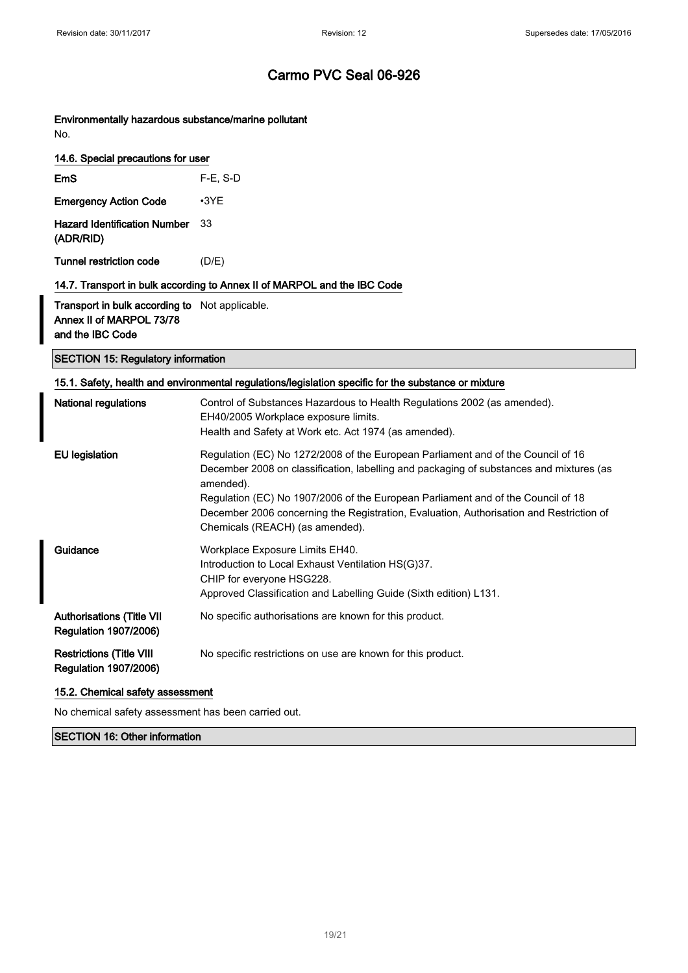Environmentally hazardous substance/marine pollutant No.

| 14.6. Special precautions for user               |             |
|--------------------------------------------------|-------------|
| EmS                                              | $F-E$ , S-D |
| <b>Emergency Action Code</b>                     | $\cdot$ 3YF |
| <b>Hazard Identification Number</b><br>(ADR/RID) | 33          |

Tunnel restriction code (D/E)

#### 14.7. Transport in bulk according to Annex II of MARPOL and the IBC Code

Transport in bulk according to Not applicable. Annex II of MARPOL 73/78 and the IBC Code

#### SECTION 15: Regulatory information

#### 15.1. Safety, health and environmental regulations/legislation specific for the substance or mixture

| <b>National regulations</b>                                      | Control of Substances Hazardous to Health Regulations 2002 (as amended).<br>EH40/2005 Workplace exposure limits.<br>Health and Safety at Work etc. Act 1974 (as amended).                                                                                                                                                                                                                                  |
|------------------------------------------------------------------|------------------------------------------------------------------------------------------------------------------------------------------------------------------------------------------------------------------------------------------------------------------------------------------------------------------------------------------------------------------------------------------------------------|
| <b>EU</b> legislation                                            | Regulation (EC) No 1272/2008 of the European Parliament and of the Council of 16<br>December 2008 on classification, labelling and packaging of substances and mixtures (as<br>amended).<br>Regulation (EC) No 1907/2006 of the European Parliament and of the Council of 18<br>December 2006 concerning the Registration, Evaluation, Authorisation and Restriction of<br>Chemicals (REACH) (as amended). |
| Guidance                                                         | Workplace Exposure Limits EH40.<br>Introduction to Local Exhaust Ventilation HS(G)37.<br>CHIP for everyone HSG228.<br>Approved Classification and Labelling Guide (Sixth edition) L131.                                                                                                                                                                                                                    |
| <b>Authorisations (Title VII</b><br><b>Regulation 1907/2006)</b> | No specific authorisations are known for this product.                                                                                                                                                                                                                                                                                                                                                     |
| <b>Restrictions (Title VIII</b><br><b>Regulation 1907/2006)</b>  | No specific restrictions on use are known for this product.                                                                                                                                                                                                                                                                                                                                                |

#### 15.2. Chemical safety assessment

No chemical safety assessment has been carried out.

SECTION 16: Other information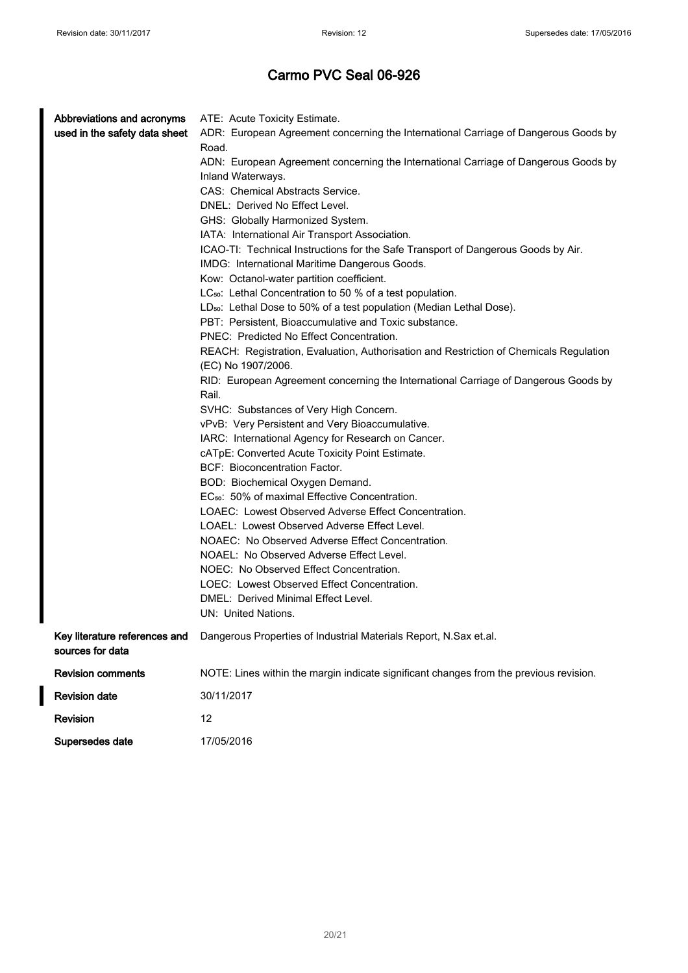$\overline{\phantom{a}}$ 

| Abbreviations and acronyms                        | ATE: Acute Toxicity Estimate.                                                                                |
|---------------------------------------------------|--------------------------------------------------------------------------------------------------------------|
| used in the safety data sheet                     | ADR: European Agreement concerning the International Carriage of Dangerous Goods by                          |
|                                                   | Road.                                                                                                        |
|                                                   | ADN: European Agreement concerning the International Carriage of Dangerous Goods by                          |
|                                                   | Inland Waterways.                                                                                            |
|                                                   | CAS: Chemical Abstracts Service.                                                                             |
|                                                   | DNEL: Derived No Effect Level.                                                                               |
|                                                   | GHS: Globally Harmonized System.                                                                             |
|                                                   | IATA: International Air Transport Association.                                                               |
|                                                   | ICAO-TI: Technical Instructions for the Safe Transport of Dangerous Goods by Air.                            |
|                                                   | IMDG: International Maritime Dangerous Goods.                                                                |
|                                                   | Kow: Octanol-water partition coefficient.                                                                    |
|                                                   | LC <sub>50</sub> : Lethal Concentration to 50 % of a test population.                                        |
|                                                   | LD <sub>50</sub> : Lethal Dose to 50% of a test population (Median Lethal Dose).                             |
|                                                   | PBT: Persistent, Bioaccumulative and Toxic substance.                                                        |
|                                                   | PNEC: Predicted No Effect Concentration.                                                                     |
|                                                   | REACH: Registration, Evaluation, Authorisation and Restriction of Chemicals Regulation<br>(EC) No 1907/2006. |
|                                                   | RID: European Agreement concerning the International Carriage of Dangerous Goods by                          |
|                                                   | Rail.                                                                                                        |
|                                                   | SVHC: Substances of Very High Concern.                                                                       |
|                                                   | vPvB: Very Persistent and Very Bioaccumulative.                                                              |
|                                                   | IARC: International Agency for Research on Cancer.                                                           |
|                                                   | cATpE: Converted Acute Toxicity Point Estimate.                                                              |
|                                                   | BCF: Bioconcentration Factor.                                                                                |
|                                                   | BOD: Biochemical Oxygen Demand.                                                                              |
|                                                   | EC <sub>50</sub> : 50% of maximal Effective Concentration.                                                   |
|                                                   | LOAEC: Lowest Observed Adverse Effect Concentration.                                                         |
|                                                   | LOAEL: Lowest Observed Adverse Effect Level.                                                                 |
|                                                   | NOAEC: No Observed Adverse Effect Concentration.                                                             |
|                                                   | NOAEL: No Observed Adverse Effect Level.                                                                     |
|                                                   | NOEC: No Observed Effect Concentration.                                                                      |
|                                                   | LOEC: Lowest Observed Effect Concentration.                                                                  |
|                                                   | DMEL: Derived Minimal Effect Level.                                                                          |
|                                                   | UN: United Nations.                                                                                          |
| Key literature references and<br>sources for data | Dangerous Properties of Industrial Materials Report, N.Sax et.al.                                            |
| <b>Revision comments</b>                          | NOTE: Lines within the margin indicate significant changes from the previous revision.                       |
| <b>Revision date</b>                              | 30/11/2017                                                                                                   |
| Revision                                          | 12                                                                                                           |
| Supersedes date                                   | 17/05/2016                                                                                                   |